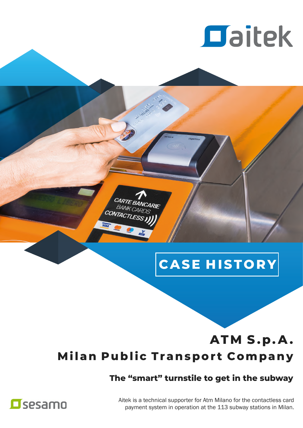

# **CASE H ISTO RY**

### **ATM S.p. A . Milan Public Transport Company**

**CARTE BAN** 

CONTACTLES.

BANK CARDS

**ARIE** 

### **The "smart" turnstile to get in the subway**

Aitek is a technical supporter for Atm Milano for the contactless card payment system in operation at the 113 subway stations in Milan.

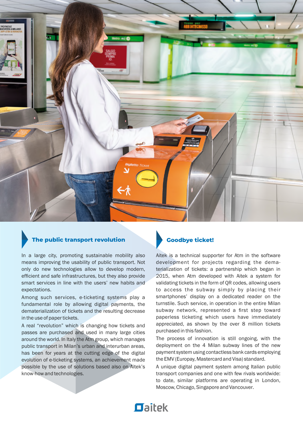

#### **The public transport revolution**

In a large city, promoting sustainable mobility also means improving the usability of public transport. Not only do new technologies allow to develop modern, efficient and safe infrastructures, but they also provide smart services in line with the users' new habits and expectations.

Among such services, e-ticketing systems play a fundamental role by allowing digital payments, the dematerialization of tickets and the resulting decrease in the use of paper tickets.

A real "revolution" which is changing how tickets and passes are purchased and used in many large cities around the world. In Italy the Atm group, which manages public transport in Milan's urban and interurban areas, has been for years at the cutting edge of the digital evolution of e-ticketing systems, an achievement made possible by the use of solutions based also on Aitek's know-how and technologies.

#### **Goodbye ticket!**

Aitek is a technical supporter for Atm in the software development for projects regarding the dematerialization of tickets: a partnership which began in 2015, when Atm developed with Aitek a system for validating tickets in the form of QR codes, allowing users to access the subway simply by placing their smartphones' display on a dedicated reader on the turnstile. Such service, in operation in the entire Milan subway network, represented a first step toward paperless ticketing which users have immediately appreciated, as shown by the over 8 million tickets purchased in this fashion.

The process of innovation is still ongoing, with the deployment on the 4 Milan subway lines of the new payment system using contactless bank cards employing the EMV (Europay, Mastercard and Visa) standard.

A unique digital payment system among Italian public transport companies and one with few rivals worldwide: to date, similar platforms are operating in London, Moscow, Chicago, Singapore and Vancouver.

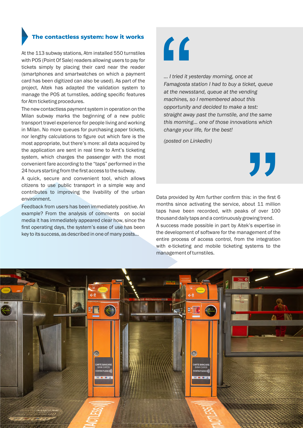## **The contactless system: how it works**

At the 113 subway stations, Atm installed 550 turnstiles with POS (Point Of Sale) readers allowing users to pay for tickets simply by placing their card near the reader (smartphones and smartwatches on which a payment card has been digitized can also be used). As part of the project, Aitek has adapted the validation system to manage the POS at turnstiles, adding specific features for Atm ticketing procedures.

The new contactless payment system in operation on the Milan subway marks the beginning of a new public transport travel experience for people living and working in Milan. No more queues for purchasing paper tickets, nor lengthy calculations to figure out which fare is the most appropriate, but there's more: all data acquired by the application are sent in real time to Amt's ticketing system, which charges the passenger with the most convenient fare according to the "taps" performed in the 24 hours starting from the first access to the subway.

A quick, secure and convenient tool, which allows citizens to use public transport in a simple way and contributes to improving the livability of the urban environment.

Feedback from users has been immediately positive. An example? From the analysis of comments on social media it has immediately appeared clear how, since the first operating days, the system's ease of use has been key to its success, as described in one of many posts…



*… I tried it yesterday morning, once at Famagosta station I had to buy a ticket, queue at the newsstand, queue at the vending machines, so I remembered about this opportunity and decided to make a test: straight away past the turnstile, and the same this morning… one of those innovations which change your life, for the best!* 

*(posted on LinkedIn)*



Data provided by Atm further confirm this: in the first 6 months since activating the service, about 11 million taps have been recorded, with peaks of over 100 thousand daily taps and a continuously growing trend.

A success made possible in part by Aitek's expertise in the development of software for the management of the entire process of access control, from the integration with e-ticketing and mobile ticketing systems to the management of turnstiles.